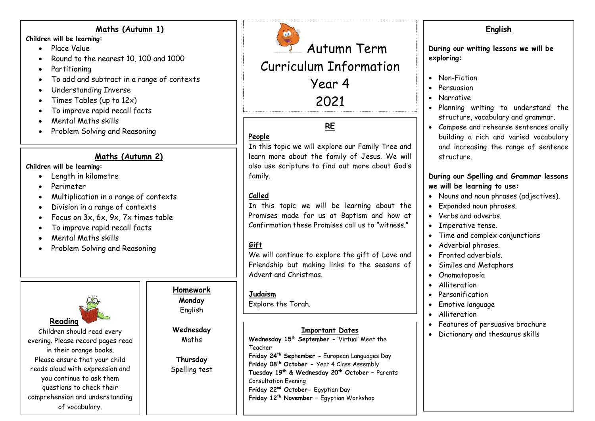#### **Maths (Autumn 1)**

**Children will be learning:**

- **Place Value**
- Round to the nearest 10, 100 and 1000
- Partitioning
- To add and subtract in a range of contexts
- Understanding Inverse
- Times Tables (up to  $12x$ )
- To improve rapid recall facts
- Mental Maths skills
- Problem Solving and Reasoning

### **Maths (Autumn 2)**

#### **Children will be learning:**

- Length in kilometre
- Perimeter
- Multiplication in a range of contexts
- Division in a range of contexts
- Focus on 3x, 6x, 9x, 7x times table
- To improve rapid recall facts
- Mental Maths skills
- Problem Solving and Reasoning



Autumn Term Curriculum Information Year 4 2021

# **RE**

# **People**

In this topic we will explore our Family Tree and learn more about the family of Jesus. We will also use scripture to find out more about God's family.

# **Called**

In this topic we will be learning about the Promises made for us at Baptism and how at Confirmation these Promises call us to "witness."

# **Gift**

We will continue to explore the gift of Love and Friendship but making links to the seasons of Advent and Christmas.

#### **Judaism**

Explore the Torah.

# **Important Dates**

**Wednesday 15 th September -** 'Virtual' Meet the Teacher

**Friday 24 th September -** European Languages Day **Friday 08 th October -** Year 4 Class Assembly **Tuesday 19th & Wednesday 20th October –** Parents Consultation Evening **Friday 22nd October-** Egyptian Day **Friday 12th November –** Egyptian Workshop

# **English**

**During our writing lessons we will be exploring:**

- Non-Fiction
- **•** Persuasion
- Narrative
- Planning writing to understand the structure, vocabulary and grammar.
- Compose and rehearse sentences orally building a rich and varied vocabulary and increasing the range of sentence structure.

### **During our Spelling and Grammar lessons we will be learning to use:**

- Nouns and noun phrases (adjectives).
- Expanded noun phrases.
- Verbs and adverbs.
- Imperative tense.
- Time and complex conjunctions
- Adverbial phrases.
- **•** Fronted adverbials
- Similes and Metaphors
- Onomatopoeia
- Alliteration
- Personification
- Emotive language
- Alliteration
- Features of persuasive brochure
- Dictionary and thesaurus skills